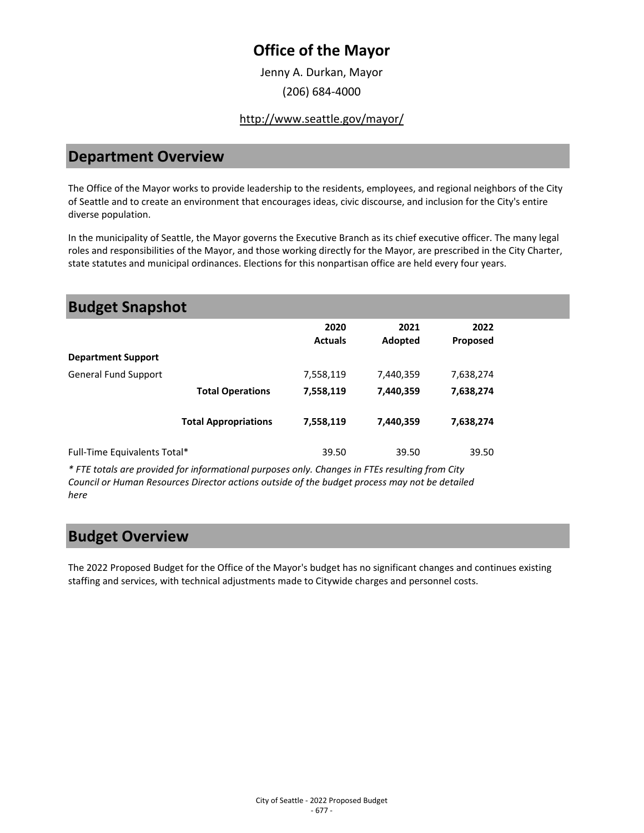## **Office of the Mayor**

Jenny A. Durkan, Mayor (206) 684-4000

#### <http://www.seattle.gov/mayor/>

#### **Department Overview**

The Office of the Mayor works to provide leadership to the residents, employees, and regional neighbors of the City of Seattle and to create an environment that encourages ideas, civic discourse, and inclusion for the City's entire diverse population.

In the municipality of Seattle, the Mayor governs the Executive Branch as its chief executive officer. The many legal roles and responsibilities of the Mayor, and those working directly for the Mayor, are prescribed in the City Charter, state statutes and municipal ordinances. Elections for this nonpartisan office are held every four years.

| <b>Budget Snapshot</b>       |                             |                        |                 |                  |  |
|------------------------------|-----------------------------|------------------------|-----------------|------------------|--|
|                              |                             | 2020<br><b>Actuals</b> | 2021<br>Adopted | 2022<br>Proposed |  |
| <b>Department Support</b>    |                             |                        |                 |                  |  |
| <b>General Fund Support</b>  |                             | 7,558,119              | 7,440,359       | 7,638,274        |  |
|                              | <b>Total Operations</b>     | 7,558,119              | 7,440,359       | 7,638,274        |  |
|                              | <b>Total Appropriations</b> | 7,558,119              | 7,440,359       | 7,638,274        |  |
| Full-Time Equivalents Total* |                             | 39.50                  | 39.50           | 39.50            |  |
|                              |                             |                        |                 |                  |  |

*\* FTE totals are provided for informational purposes only. Changes in FTEs resulting from City Council or Human Resources Director actions outside of the budget process may not be detailed here*

### **Budget Overview**

The 2022 Proposed Budget for the Office of the Mayor's budget has no significant changes and continues existing staffing and services, with technical adjustments made to Citywide charges and personnel costs.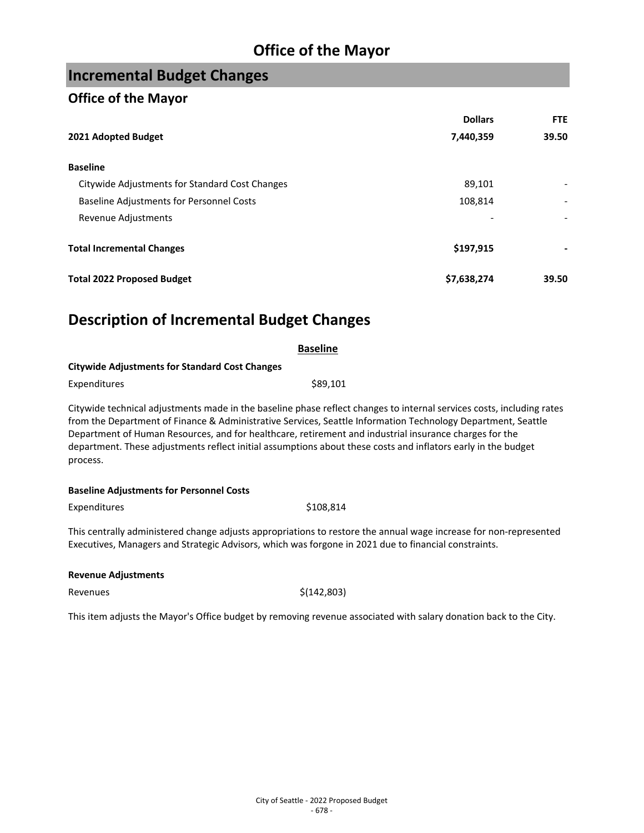## **Office of the Mayor**

# **Incremental Budget Changes**

#### **Office of the Mayor**

|                                                 | <b>Dollars</b> | FTE   |
|-------------------------------------------------|----------------|-------|
| 2021 Adopted Budget                             | 7,440,359      | 39.50 |
| <b>Baseline</b>                                 |                |       |
| Citywide Adjustments for Standard Cost Changes  | 89,101         |       |
| <b>Baseline Adjustments for Personnel Costs</b> | 108,814        |       |
| Revenue Adjustments                             |                |       |
| <b>Total Incremental Changes</b>                | \$197,915      |       |
| <b>Total 2022 Proposed Budget</b>               | \$7,638,274    | 39.50 |

## **Description of Incremental Budget Changes**

|                                                       | <b>Baseline</b>                                                                                                                                                                                                                                                                                                                                                                                                                                                  |  |
|-------------------------------------------------------|------------------------------------------------------------------------------------------------------------------------------------------------------------------------------------------------------------------------------------------------------------------------------------------------------------------------------------------------------------------------------------------------------------------------------------------------------------------|--|
| <b>Citywide Adjustments for Standard Cost Changes</b> |                                                                                                                                                                                                                                                                                                                                                                                                                                                                  |  |
| Expenditures                                          | \$89,101                                                                                                                                                                                                                                                                                                                                                                                                                                                         |  |
| process.                                              | Citywide technical adjustments made in the baseline phase reflect changes to internal services costs, including rates<br>from the Department of Finance & Administrative Services, Seattle Information Technology Department, Seattle<br>Department of Human Resources, and for healthcare, retirement and industrial insurance charges for the<br>department. These adjustments reflect initial assumptions about these costs and inflators early in the budget |  |
| <b>Baseline Adjustments for Personnel Costs</b>       |                                                                                                                                                                                                                                                                                                                                                                                                                                                                  |  |
| Expenditures                                          | \$108,814                                                                                                                                                                                                                                                                                                                                                                                                                                                        |  |
|                                                       | This centrally administered change adjusts appropriations to restore the annual wage increase for non-represented<br>Executives, Managers and Strategic Advisors, which was forgone in 2021 due to financial constraints.                                                                                                                                                                                                                                        |  |
| <b>Revenue Adjustments</b>                            |                                                                                                                                                                                                                                                                                                                                                                                                                                                                  |  |
| Revenues                                              | \$(142,803)                                                                                                                                                                                                                                                                                                                                                                                                                                                      |  |
|                                                       |                                                                                                                                                                                                                                                                                                                                                                                                                                                                  |  |

This item adjusts the Mayor's Office budget by removing revenue associated with salary donation back to the City.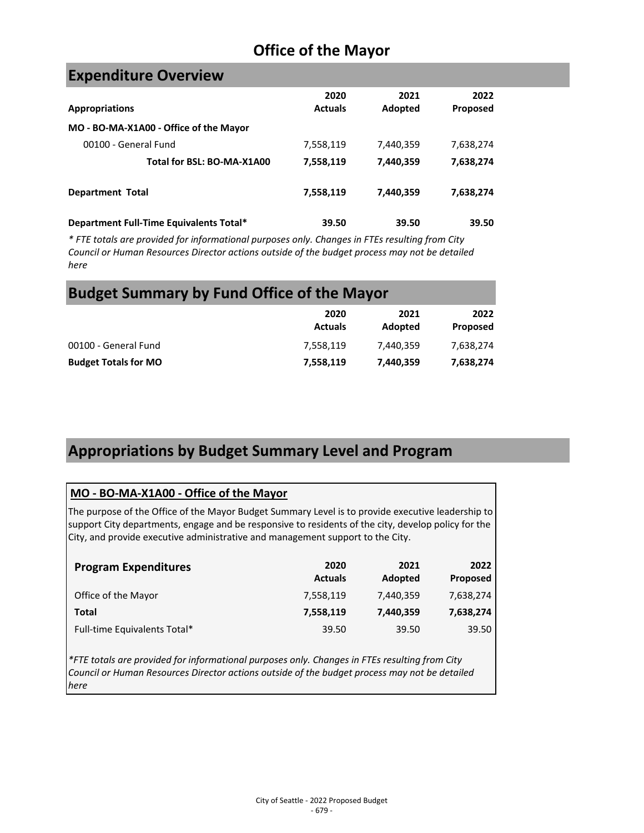## **Office of the Mayor**

### **Expenditure Overview**

|                                         | 2020           | 2021      | 2022      |
|-----------------------------------------|----------------|-----------|-----------|
| <b>Appropriations</b>                   | <b>Actuals</b> | Adopted   | Proposed  |
| MO - BO-MA-X1A00 - Office of the Mayor  |                |           |           |
| 00100 - General Fund                    | 7,558,119      | 7,440,359 | 7,638,274 |
| Total for BSL: BO-MA-X1A00              | 7,558,119      | 7,440,359 | 7,638,274 |
| <b>Department Total</b>                 | 7,558,119      | 7,440,359 | 7,638,274 |
| Department Full-Time Equivalents Total* | 39.50          | 39.50     | 39.50     |

*\* FTE totals are provided for informational purposes only. Changes in FTEs resulting from City Council or Human Resources Director actions outside of the budget process may not be detailed here*

## **Budget Summary by Fund Office of the Mayor**

|                             | 2020<br><b>Actuals</b> | 2021<br>Adopted | 2022<br>Proposed |
|-----------------------------|------------------------|-----------------|------------------|
| 00100 - General Fund        | 7.558.119              | 7.440.359       | 7,638,274        |
| <b>Budget Totals for MO</b> | 7,558,119              | 7,440,359       | 7,638,274        |

## **Appropriations by Budget Summary Level and Program**

#### **MO - BO-MA-X1A00 - Office of the Mayor**

The purpose of the Office of the Mayor Budget Summary Level is to provide executive leadership to support City departments, engage and be responsive to residents of the city, develop policy for the City, and provide executive administrative and management support to the City.

| <b>Program Expenditures</b>  | 2020<br><b>Actuals</b> | 2021<br>Adopted | 2022<br>Proposed |
|------------------------------|------------------------|-----------------|------------------|
| Office of the Mayor          | 7,558,119              | 7,440,359       | 7,638,274        |
| Total                        | 7,558,119              | 7,440,359       | 7,638,274        |
| Full-time Equivalents Total* | 39.50                  | 39.50           | 39.50            |

*\*FTE totals are provided for informational purposes only. Changes in FTEs resulting from City Council or Human Resources Director actions outside of the budget process may not be detailed here*